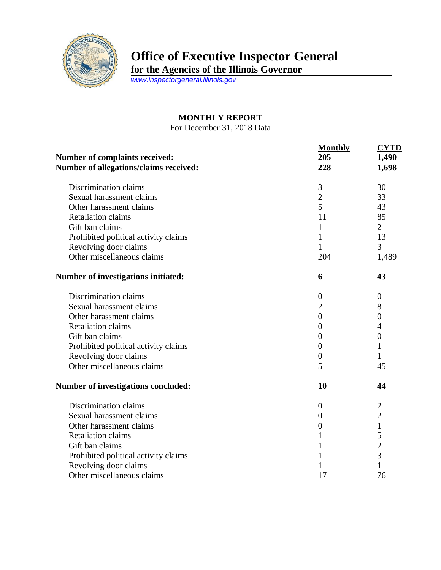

## **Office of Executive Inspector General**

**for the Agencies of the Illinois Governor**

*[www.inspectorgeneral.illinois.gov](http://www.inspectorgeneral.illinois.gov/)*

## **MONTHLY REPORT**

For December 31, 2018 Data

|                                                                                 | <b>Monthly</b>   | <b>CYTD</b>             |
|---------------------------------------------------------------------------------|------------------|-------------------------|
| <b>Number of complaints received:</b><br>Number of allegations/claims received: | 205<br>228       | 1,490<br>1,698          |
|                                                                                 |                  |                         |
| Sexual harassment claims                                                        | $\overline{2}$   | 33                      |
| Other harassment claims                                                         | 5                | 43                      |
| <b>Retaliation claims</b>                                                       | 11               | 85                      |
| Gift ban claims                                                                 | 1                | $\overline{2}$          |
| Prohibited political activity claims                                            | $\mathbf{1}$     | 13                      |
| Revolving door claims                                                           | $\mathbf{1}$     | 3                       |
| Other miscellaneous claims                                                      | 204              | 1,489                   |
| <b>Number of investigations initiated:</b>                                      | 6                | 43                      |
| Discrimination claims                                                           | $\boldsymbol{0}$ | $\boldsymbol{0}$        |
| Sexual harassment claims                                                        | $\overline{2}$   | 8                       |
| Other harassment claims                                                         | $\overline{0}$   | $\overline{0}$          |
| <b>Retaliation claims</b>                                                       | $\overline{0}$   | 4                       |
| Gift ban claims                                                                 | $\overline{0}$   | $\boldsymbol{0}$        |
| Prohibited political activity claims                                            | $\overline{0}$   | 1                       |
| Revolving door claims                                                           | $\boldsymbol{0}$ | 1                       |
| Other miscellaneous claims                                                      | 5                | 45                      |
| Number of investigations concluded:                                             | 10               | 44                      |
| Discrimination claims                                                           | $\theta$         | $\overline{\mathbf{c}}$ |
| Sexual harassment claims                                                        | $\overline{0}$   | $\overline{2}$          |
| Other harassment claims                                                         | $\overline{0}$   | $\mathbf{1}$            |
| <b>Retaliation claims</b>                                                       | 1                | 5                       |
| Gift ban claims                                                                 | 1                | $\overline{c}$          |
| Prohibited political activity claims                                            | 1                | $\overline{3}$          |
| Revolving door claims                                                           | 1                | 1                       |
| Other miscellaneous claims                                                      | 17               | 76                      |